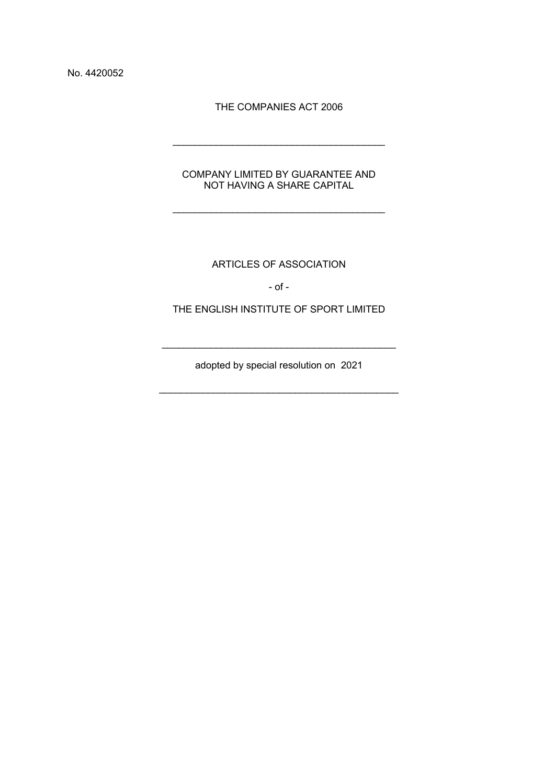No. 4420052

THE COMPANIES ACT 2006

\_\_\_\_\_\_\_\_\_\_\_\_\_\_\_\_\_\_\_\_\_\_\_\_\_\_\_\_\_\_\_\_\_\_\_\_\_\_\_

COMPANY LIMITED BY GUARANTEE AND NOT HAVING A SHARE CAPITAL

\_\_\_\_\_\_\_\_\_\_\_\_\_\_\_\_\_\_\_\_\_\_\_\_\_\_\_\_\_\_\_\_\_\_\_\_\_\_\_

ARTICLES OF ASSOCIATION

- of -

THE ENGLISH INSTITUTE OF SPORT LIMITED

adopted by special resolution on 2021

\_\_\_\_\_\_\_\_\_\_\_\_\_\_\_\_\_\_\_\_\_\_\_\_\_\_\_\_\_\_\_\_\_\_\_\_\_\_\_\_\_\_\_\_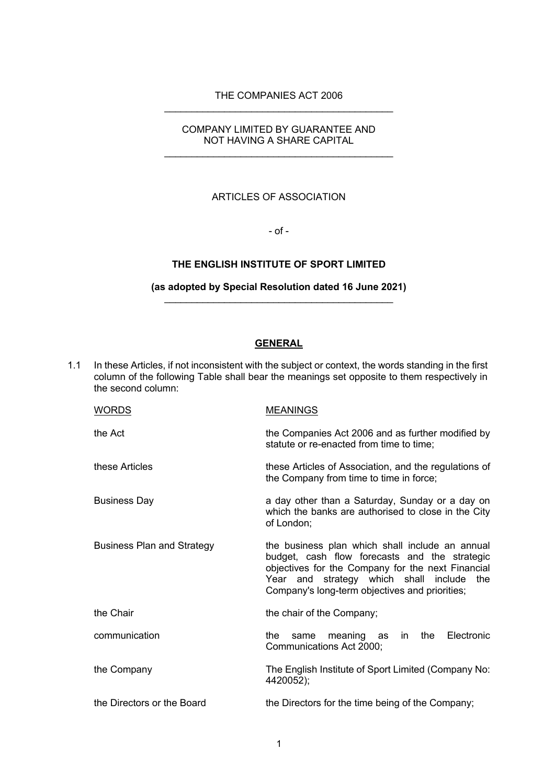### THE COMPANIES ACT 2006 \_\_\_\_\_\_\_\_\_\_\_\_\_\_\_\_\_\_\_\_\_\_\_\_\_\_\_\_\_\_\_\_\_\_\_\_\_\_\_\_\_\_

### COMPANY LIMITED BY GUARANTEE AND NOT HAVING A SHARE CAPITAL \_\_\_\_\_\_\_\_\_\_\_\_\_\_\_\_\_\_\_\_\_\_\_\_\_\_\_\_\_\_\_\_\_\_\_\_\_\_\_\_\_\_

#### ARTICLES OF ASSOCIATION

- of -

## **THE ENGLISH INSTITUTE OF SPORT LIMITED**

#### **(as adopted by Special Resolution dated 16 June 2021)** \_\_\_\_\_\_\_\_\_\_\_\_\_\_\_\_\_\_\_\_\_\_\_\_\_\_\_\_\_\_\_\_\_\_\_\_\_\_\_\_\_\_

# **GENERAL**

1.1 In these Articles, if not inconsistent with the subject or context, the words standing in the first column of the following Table shall bear the meanings set opposite to them respectively in the second column:

| <b>WORDS</b>                      | <b>MEANINGS</b>                                                                                                                                                                                                                                            |
|-----------------------------------|------------------------------------------------------------------------------------------------------------------------------------------------------------------------------------------------------------------------------------------------------------|
| the Act                           | the Companies Act 2006 and as further modified by<br>statute or re-enacted from time to time;                                                                                                                                                              |
| these Articles                    | these Articles of Association, and the regulations of<br>the Company from time to time in force;                                                                                                                                                           |
| <b>Business Day</b>               | a day other than a Saturday, Sunday or a day on<br>which the banks are authorised to close in the City<br>of London;                                                                                                                                       |
| <b>Business Plan and Strategy</b> | the business plan which shall include an annual<br>budget, cash flow forecasts and the strategic<br>objectives for the Company for the next Financial<br>Year and strategy which shall<br>include<br>the<br>Company's long-term objectives and priorities; |
| the Chair                         | the chair of the Company;                                                                                                                                                                                                                                  |
| communication                     | the<br>Electronic<br>meaning<br>the<br>in.<br>same<br>as<br>Communications Act 2000;                                                                                                                                                                       |
| the Company                       | The English Institute of Sport Limited (Company No:<br>4420052);                                                                                                                                                                                           |
| the Directors or the Board        | the Directors for the time being of the Company;                                                                                                                                                                                                           |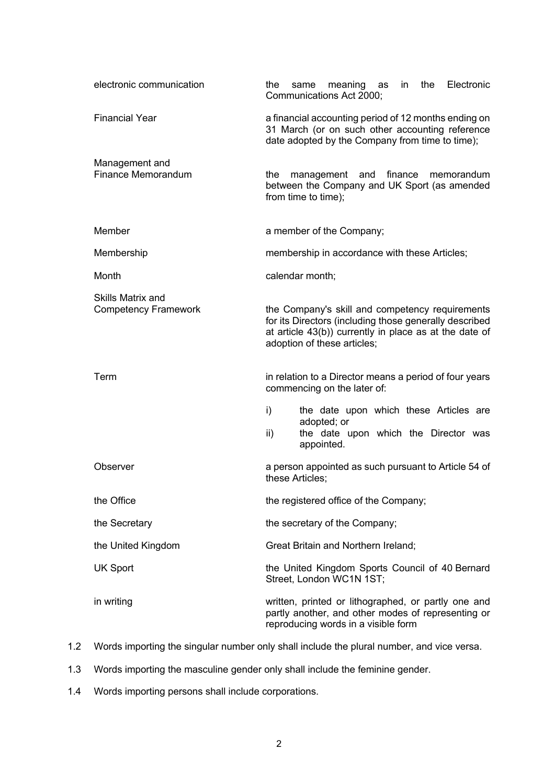| electronic communication                                | the<br>Electronic<br>the<br>meaning as<br>in<br>same<br>Communications Act 2000;                                                                                                                   |
|---------------------------------------------------------|----------------------------------------------------------------------------------------------------------------------------------------------------------------------------------------------------|
| <b>Financial Year</b>                                   | a financial accounting period of 12 months ending on<br>31 March (or on such other accounting reference<br>date adopted by the Company from time to time);                                         |
| Management and<br>Finance Memorandum                    | finance<br>the<br>management and<br>memorandum<br>between the Company and UK Sport (as amended<br>from time to time);                                                                              |
| Member                                                  | a member of the Company;                                                                                                                                                                           |
| Membership                                              | membership in accordance with these Articles;                                                                                                                                                      |
| Month                                                   | calendar month;                                                                                                                                                                                    |
| <b>Skills Matrix and</b><br><b>Competency Framework</b> | the Company's skill and competency requirements<br>for its Directors (including those generally described<br>at article 43(b)) currently in place as at the date of<br>adoption of these articles; |
| Term                                                    | in relation to a Director means a period of four years<br>commencing on the later of:                                                                                                              |
|                                                         | the date upon which these Articles are<br>i)<br>adopted; or                                                                                                                                        |
|                                                         | the date upon which the Director was<br>ii)<br>appointed.                                                                                                                                          |
| Observer                                                | a person appointed as such pursuant to Article 54 of<br>these Articles;                                                                                                                            |
| the Office                                              | the registered office of the Company;                                                                                                                                                              |
| the Secretary                                           | the secretary of the Company;                                                                                                                                                                      |
| the United Kingdom                                      | <b>Great Britain and Northern Ireland;</b>                                                                                                                                                         |
| <b>UK Sport</b>                                         | the United Kingdom Sports Council of 40 Bernard<br>Street, London WC1N 1ST;                                                                                                                        |
| in writing                                              | written, printed or lithographed, or partly one and<br>partly another, and other modes of representing or<br>reproducing words in a visible form                                                   |

- 1.2 Words importing the singular number only shall include the plural number, and vice versa.
- 1.3 Words importing the masculine gender only shall include the feminine gender.
- 1.4 Words importing persons shall include corporations.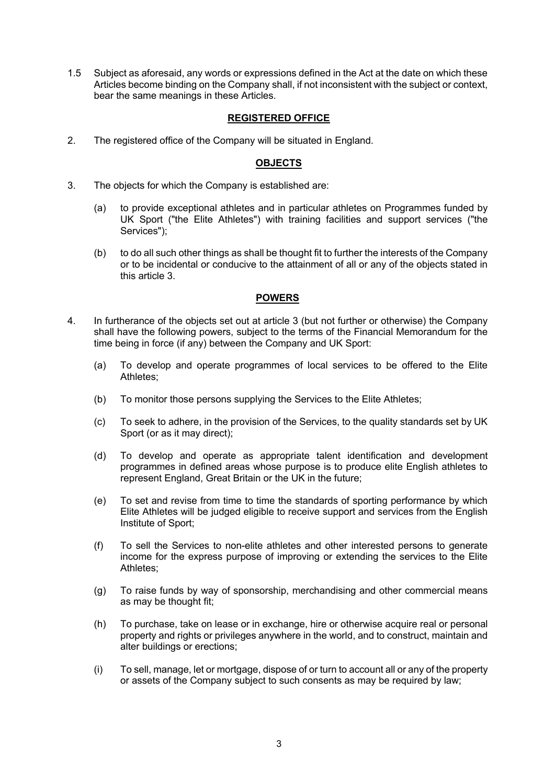1.5 Subject as aforesaid, any words or expressions defined in the Act at the date on which these Articles become binding on the Company shall, if not inconsistent with the subject or context, bear the same meanings in these Articles.

## **REGISTERED OFFICE**

2. The registered office of the Company will be situated in England.

## **OBJECTS**

- 3. The objects for which the Company is established are:
	- (a) to provide exceptional athletes and in particular athletes on Programmes funded by UK Sport ("the Elite Athletes") with training facilities and support services ("the Services");
	- (b) to do all such other things as shall be thought fit to further the interests of the Company or to be incidental or conducive to the attainment of all or any of the objects stated in this article 3.

## **POWERS**

- 4. In furtherance of the objects set out at article 3 (but not further or otherwise) the Company shall have the following powers, subject to the terms of the Financial Memorandum for the time being in force (if any) between the Company and UK Sport:
	- (a) To develop and operate programmes of local services to be offered to the Elite Athletes;
	- (b) To monitor those persons supplying the Services to the Elite Athletes;
	- (c) To seek to adhere, in the provision of the Services, to the quality standards set by UK Sport (or as it may direct);
	- (d) To develop and operate as appropriate talent identification and development programmes in defined areas whose purpose is to produce elite English athletes to represent England, Great Britain or the UK in the future;
	- (e) To set and revise from time to time the standards of sporting performance by which Elite Athletes will be judged eligible to receive support and services from the English Institute of Sport;
	- (f) To sell the Services to non-elite athletes and other interested persons to generate income for the express purpose of improving or extending the services to the Elite Athletes;
	- (g) To raise funds by way of sponsorship, merchandising and other commercial means as may be thought fit;
	- (h) To purchase, take on lease or in exchange, hire or otherwise acquire real or personal property and rights or privileges anywhere in the world, and to construct, maintain and alter buildings or erections;
	- (i) To sell, manage, let or mortgage, dispose of or turn to account all or any of the property or assets of the Company subject to such consents as may be required by law;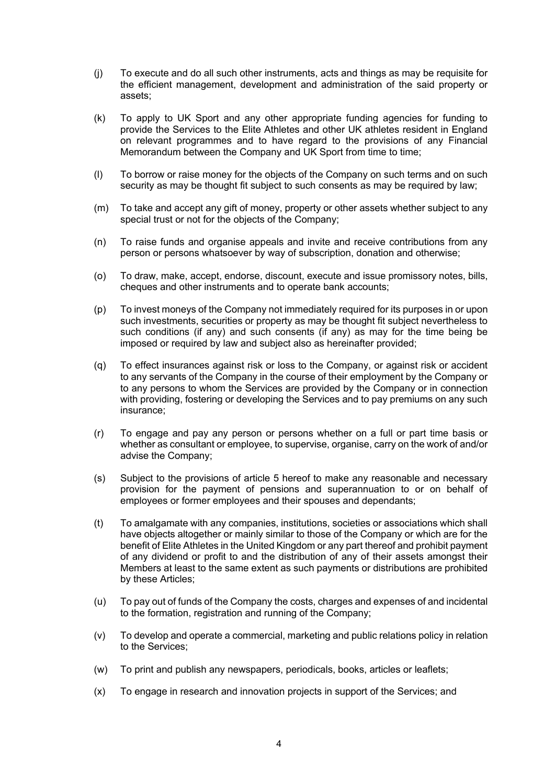- (j) To execute and do all such other instruments, acts and things as may be requisite for the efficient management, development and administration of the said property or assets;
- (k) To apply to UK Sport and any other appropriate funding agencies for funding to provide the Services to the Elite Athletes and other UK athletes resident in England on relevant programmes and to have regard to the provisions of any Financial Memorandum between the Company and UK Sport from time to time;
- (l) To borrow or raise money for the objects of the Company on such terms and on such security as may be thought fit subject to such consents as may be required by law;
- (m) To take and accept any gift of money, property or other assets whether subject to any special trust or not for the objects of the Company;
- (n) To raise funds and organise appeals and invite and receive contributions from any person or persons whatsoever by way of subscription, donation and otherwise;
- (o) To draw, make, accept, endorse, discount, execute and issue promissory notes, bills, cheques and other instruments and to operate bank accounts;
- (p) To invest moneys of the Company not immediately required for its purposes in or upon such investments, securities or property as may be thought fit subject nevertheless to such conditions (if any) and such consents (if any) as may for the time being be imposed or required by law and subject also as hereinafter provided;
- (q) To effect insurances against risk or loss to the Company, or against risk or accident to any servants of the Company in the course of their employment by the Company or to any persons to whom the Services are provided by the Company or in connection with providing, fostering or developing the Services and to pay premiums on any such insurance;
- (r) To engage and pay any person or persons whether on a full or part time basis or whether as consultant or employee, to supervise, organise, carry on the work of and/or advise the Company;
- (s) Subject to the provisions of article 5 hereof to make any reasonable and necessary provision for the payment of pensions and superannuation to or on behalf of employees or former employees and their spouses and dependants;
- (t) To amalgamate with any companies, institutions, societies or associations which shall have objects altogether or mainly similar to those of the Company or which are for the benefit of Elite Athletes in the United Kingdom or any part thereof and prohibit payment of any dividend or profit to and the distribution of any of their assets amongst their Members at least to the same extent as such payments or distributions are prohibited by these Articles;
- (u) To pay out of funds of the Company the costs, charges and expenses of and incidental to the formation, registration and running of the Company;
- (v) To develop and operate a commercial, marketing and public relations policy in relation to the Services;
- (w) To print and publish any newspapers, periodicals, books, articles or leaflets;
- (x) To engage in research and innovation projects in support of the Services; and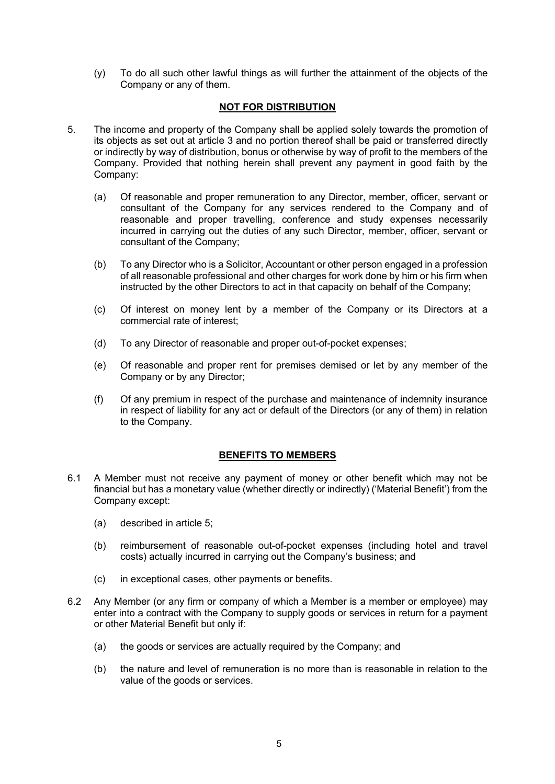(y) To do all such other lawful things as will further the attainment of the objects of the Company or any of them.

## **NOT FOR DISTRIBUTION**

- 5. The income and property of the Company shall be applied solely towards the promotion of its objects as set out at article 3 and no portion thereof shall be paid or transferred directly or indirectly by way of distribution, bonus or otherwise by way of profit to the members of the Company. Provided that nothing herein shall prevent any payment in good faith by the Company:
	- (a) Of reasonable and proper remuneration to any Director, member, officer, servant or consultant of the Company for any services rendered to the Company and of reasonable and proper travelling, conference and study expenses necessarily incurred in carrying out the duties of any such Director, member, officer, servant or consultant of the Company;
	- (b) To any Director who is a Solicitor, Accountant or other person engaged in a profession of all reasonable professional and other charges for work done by him or his firm when instructed by the other Directors to act in that capacity on behalf of the Company;
	- (c) Of interest on money lent by a member of the Company or its Directors at a commercial rate of interest;
	- (d) To any Director of reasonable and proper out-of-pocket expenses;
	- (e) Of reasonable and proper rent for premises demised or let by any member of the Company or by any Director;
	- (f) Of any premium in respect of the purchase and maintenance of indemnity insurance in respect of liability for any act or default of the Directors (or any of them) in relation to the Company.

### **BENEFITS TO MEMBERS**

- 6.1 A Member must not receive any payment of money or other benefit which may not be financial but has a monetary value (whether directly or indirectly) ('Material Benefit') from the Company except:
	- (a) described in article 5;
	- (b) reimbursement of reasonable out-of-pocket expenses (including hotel and travel costs) actually incurred in carrying out the Company's business; and
	- (c) in exceptional cases, other payments or benefits.
- 6.2 Any Member (or any firm or company of which a Member is a member or employee) may enter into a contract with the Company to supply goods or services in return for a payment or other Material Benefit but only if:
	- (a) the goods or services are actually required by the Company; and
	- (b) the nature and level of remuneration is no more than is reasonable in relation to the value of the goods or services.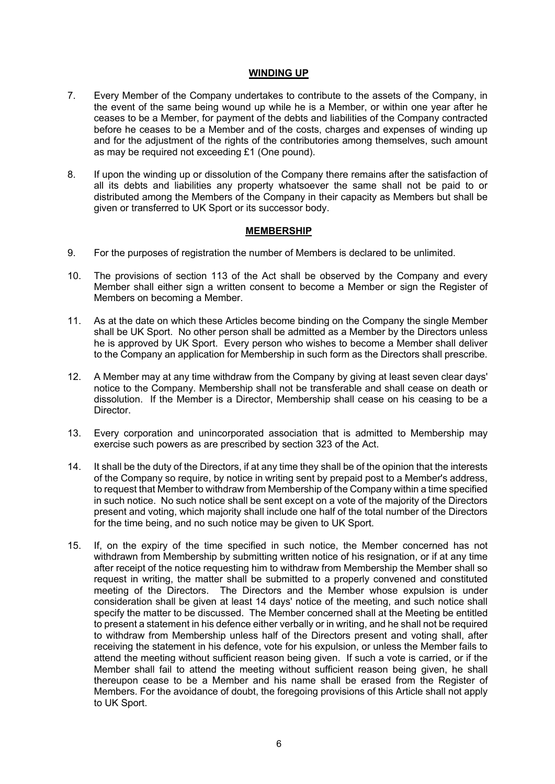#### **WINDING UP**

- 7. Every Member of the Company undertakes to contribute to the assets of the Company, in the event of the same being wound up while he is a Member, or within one year after he ceases to be a Member, for payment of the debts and liabilities of the Company contracted before he ceases to be a Member and of the costs, charges and expenses of winding up and for the adjustment of the rights of the contributories among themselves, such amount as may be required not exceeding £1 (One pound).
- 8. If upon the winding up or dissolution of the Company there remains after the satisfaction of all its debts and liabilities any property whatsoever the same shall not be paid to or distributed among the Members of the Company in their capacity as Members but shall be given or transferred to UK Sport or its successor body.

#### **MEMBERSHIP**

- 9. For the purposes of registration the number of Members is declared to be unlimited.
- 10. The provisions of section 113 of the Act shall be observed by the Company and every Member shall either sign a written consent to become a Member or sign the Register of Members on becoming a Member.
- 11. As at the date on which these Articles become binding on the Company the single Member shall be UK Sport. No other person shall be admitted as a Member by the Directors unless he is approved by UK Sport. Every person who wishes to become a Member shall deliver to the Company an application for Membership in such form as the Directors shall prescribe.
- 12. A Member may at any time withdraw from the Company by giving at least seven clear days' notice to the Company. Membership shall not be transferable and shall cease on death or dissolution. If the Member is a Director, Membership shall cease on his ceasing to be a Director.
- 13. Every corporation and unincorporated association that is admitted to Membership may exercise such powers as are prescribed by section 323 of the Act.
- 14. It shall be the duty of the Directors, if at any time they shall be of the opinion that the interests of the Company so require, by notice in writing sent by prepaid post to a Member's address, to request that Member to withdraw from Membership of the Company within a time specified in such notice. No such notice shall be sent except on a vote of the majority of the Directors present and voting, which majority shall include one half of the total number of the Directors for the time being, and no such notice may be given to UK Sport.
- 15. If, on the expiry of the time specified in such notice, the Member concerned has not withdrawn from Membership by submitting written notice of his resignation, or if at any time after receipt of the notice requesting him to withdraw from Membership the Member shall so request in writing, the matter shall be submitted to a properly convened and constituted meeting of the Directors. The Directors and the Member whose expulsion is under consideration shall be given at least 14 days' notice of the meeting, and such notice shall specify the matter to be discussed. The Member concerned shall at the Meeting be entitled to present a statement in his defence either verbally or in writing, and he shall not be required to withdraw from Membership unless half of the Directors present and voting shall, after receiving the statement in his defence, vote for his expulsion, or unless the Member fails to attend the meeting without sufficient reason being given. If such a vote is carried, or if the Member shall fail to attend the meeting without sufficient reason being given, he shall thereupon cease to be a Member and his name shall be erased from the Register of Members. For the avoidance of doubt, the foregoing provisions of this Article shall not apply to UK Sport.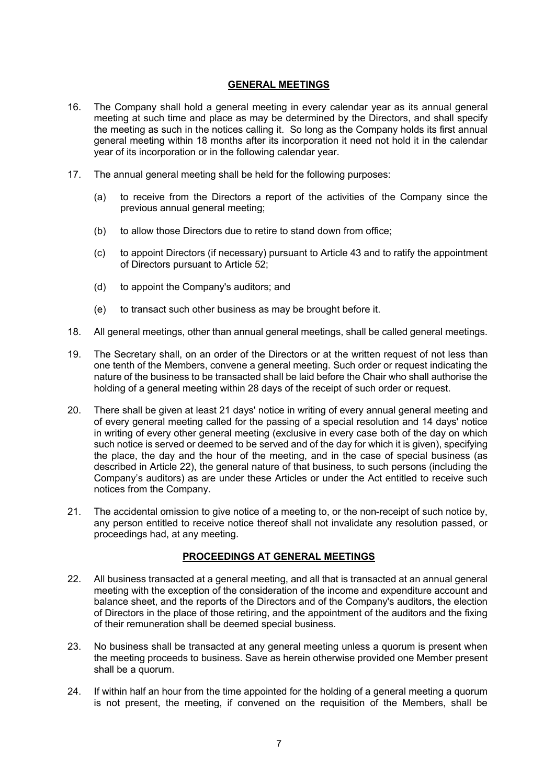## **GENERAL MEETINGS**

- 16. The Company shall hold a general meeting in every calendar year as its annual general meeting at such time and place as may be determined by the Directors, and shall specify the meeting as such in the notices calling it. So long as the Company holds its first annual general meeting within 18 months after its incorporation it need not hold it in the calendar year of its incorporation or in the following calendar year.
- 17. The annual general meeting shall be held for the following purposes:
	- (a) to receive from the Directors a report of the activities of the Company since the previous annual general meeting;
	- (b) to allow those Directors due to retire to stand down from office;
	- (c) to appoint Directors (if necessary) pursuant to Article 43 and to ratify the appointment of Directors pursuant to Article 52;
	- (d) to appoint the Company's auditors; and
	- (e) to transact such other business as may be brought before it.
- 18. All general meetings, other than annual general meetings, shall be called general meetings.
- 19. The Secretary shall, on an order of the Directors or at the written request of not less than one tenth of the Members, convene a general meeting. Such order or request indicating the nature of the business to be transacted shall be laid before the Chair who shall authorise the holding of a general meeting within 28 days of the receipt of such order or request.
- 20. There shall be given at least 21 days' notice in writing of every annual general meeting and of every general meeting called for the passing of a special resolution and 14 days' notice in writing of every other general meeting (exclusive in every case both of the day on which such notice is served or deemed to be served and of the day for which it is given), specifying the place, the day and the hour of the meeting, and in the case of special business (as described in Article 22), the general nature of that business, to such persons (including the Company's auditors) as are under these Articles or under the Act entitled to receive such notices from the Company.
- 21. The accidental omission to give notice of a meeting to, or the non-receipt of such notice by, any person entitled to receive notice thereof shall not invalidate any resolution passed, or proceedings had, at any meeting.

# **PROCEEDINGS AT GENERAL MEETINGS**

- 22. All business transacted at a general meeting, and all that is transacted at an annual general meeting with the exception of the consideration of the income and expenditure account and balance sheet, and the reports of the Directors and of the Company's auditors, the election of Directors in the place of those retiring, and the appointment of the auditors and the fixing of their remuneration shall be deemed special business.
- 23. No business shall be transacted at any general meeting unless a quorum is present when the meeting proceeds to business. Save as herein otherwise provided one Member present shall be a quorum.
- 24. If within half an hour from the time appointed for the holding of a general meeting a quorum is not present, the meeting, if convened on the requisition of the Members, shall be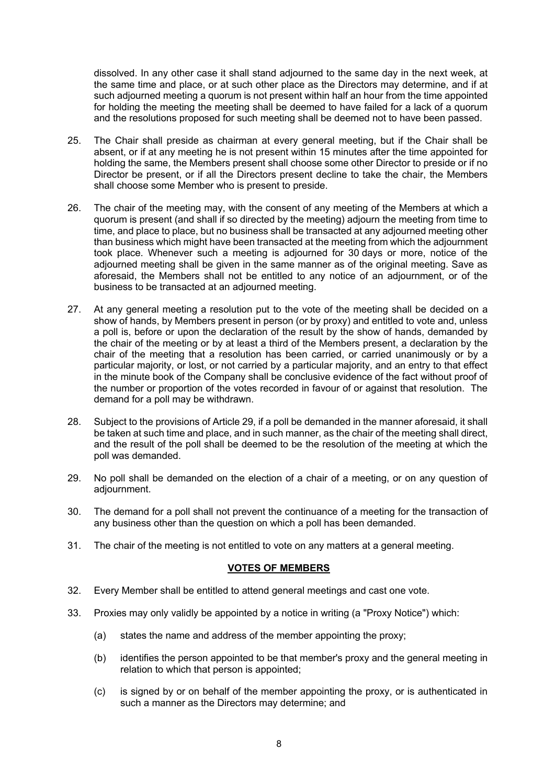dissolved. In any other case it shall stand adjourned to the same day in the next week, at the same time and place, or at such other place as the Directors may determine, and if at such adjourned meeting a quorum is not present within half an hour from the time appointed for holding the meeting the meeting shall be deemed to have failed for a lack of a quorum and the resolutions proposed for such meeting shall be deemed not to have been passed.

- 25. The Chair shall preside as chairman at every general meeting, but if the Chair shall be absent, or if at any meeting he is not present within 15 minutes after the time appointed for holding the same, the Members present shall choose some other Director to preside or if no Director be present, or if all the Directors present decline to take the chair, the Members shall choose some Member who is present to preside.
- 26. The chair of the meeting may, with the consent of any meeting of the Members at which a quorum is present (and shall if so directed by the meeting) adjourn the meeting from time to time, and place to place, but no business shall be transacted at any adjourned meeting other than business which might have been transacted at the meeting from which the adjournment took place. Whenever such a meeting is adjourned for 30 days or more, notice of the adjourned meeting shall be given in the same manner as of the original meeting. Save as aforesaid, the Members shall not be entitled to any notice of an adjournment, or of the business to be transacted at an adjourned meeting.
- 27. At any general meeting a resolution put to the vote of the meeting shall be decided on a show of hands, by Members present in person (or by proxy) and entitled to vote and, unless a poll is, before or upon the declaration of the result by the show of hands, demanded by the chair of the meeting or by at least a third of the Members present, a declaration by the chair of the meeting that a resolution has been carried, or carried unanimously or by a particular majority, or lost, or not carried by a particular majority, and an entry to that effect in the minute book of the Company shall be conclusive evidence of the fact without proof of the number or proportion of the votes recorded in favour of or against that resolution. The demand for a poll may be withdrawn.
- 28. Subject to the provisions of Article 29, if a poll be demanded in the manner aforesaid, it shall be taken at such time and place, and in such manner, as the chair of the meeting shall direct, and the result of the poll shall be deemed to be the resolution of the meeting at which the poll was demanded.
- 29. No poll shall be demanded on the election of a chair of a meeting, or on any question of adjournment.
- 30. The demand for a poll shall not prevent the continuance of a meeting for the transaction of any business other than the question on which a poll has been demanded.
- 31. The chair of the meeting is not entitled to vote on any matters at a general meeting.

### **VOTES OF MEMBERS**

- 32. Every Member shall be entitled to attend general meetings and cast one vote.
- 33. Proxies may only validly be appointed by a notice in writing (a "Proxy Notice") which:
	- (a) states the name and address of the member appointing the proxy;
	- (b) identifies the person appointed to be that member's proxy and the general meeting in relation to which that person is appointed;
	- (c) is signed by or on behalf of the member appointing the proxy, or is authenticated in such a manner as the Directors may determine; and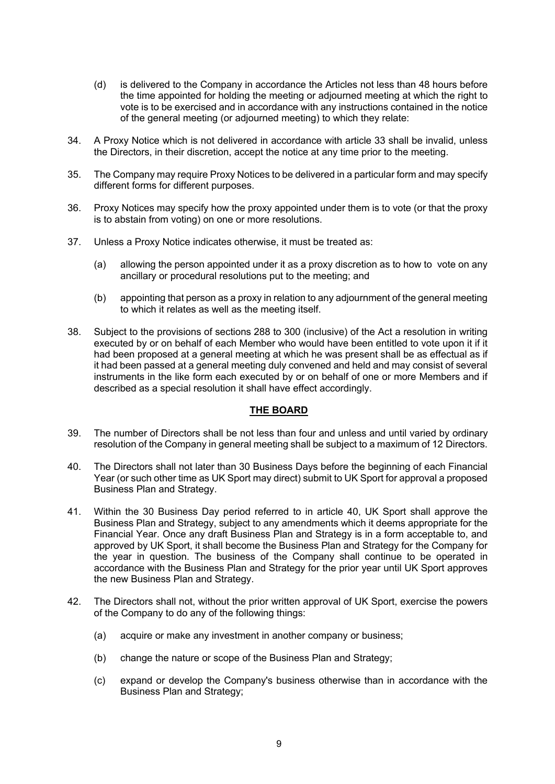- (d) is delivered to the Company in accordance the Articles not less than 48 hours before the time appointed for holding the meeting or adjourned meeting at which the right to vote is to be exercised and in accordance with any instructions contained in the notice of the general meeting (or adjourned meeting) to which they relate:
- 34. A Proxy Notice which is not delivered in accordance with article 33 shall be invalid, unless the Directors, in their discretion, accept the notice at any time prior to the meeting.
- 35. The Company may require Proxy Notices to be delivered in a particular form and may specify different forms for different purposes.
- 36. Proxy Notices may specify how the proxy appointed under them is to vote (or that the proxy is to abstain from voting) on one or more resolutions.
- 37. Unless a Proxy Notice indicates otherwise, it must be treated as:
	- (a) allowing the person appointed under it as a proxy discretion as to how to vote on any ancillary or procedural resolutions put to the meeting; and
	- (b) appointing that person as a proxy in relation to any adjournment of the general meeting to which it relates as well as the meeting itself.
- 38. Subject to the provisions of sections 288 to 300 (inclusive) of the Act a resolution in writing executed by or on behalf of each Member who would have been entitled to vote upon it if it had been proposed at a general meeting at which he was present shall be as effectual as if it had been passed at a general meeting duly convened and held and may consist of several instruments in the like form each executed by or on behalf of one or more Members and if described as a special resolution it shall have effect accordingly.

### **THE BOARD**

- 39. The number of Directors shall be not less than four and unless and until varied by ordinary resolution of the Company in general meeting shall be subject to a maximum of 12 Directors.
- 40. The Directors shall not later than 30 Business Days before the beginning of each Financial Year (or such other time as UK Sport may direct) submit to UK Sport for approval a proposed Business Plan and Strategy.
- 41. Within the 30 Business Day period referred to in article 40, UK Sport shall approve the Business Plan and Strategy, subject to any amendments which it deems appropriate for the Financial Year. Once any draft Business Plan and Strategy is in a form acceptable to, and approved by UK Sport, it shall become the Business Plan and Strategy for the Company for the year in question. The business of the Company shall continue to be operated in accordance with the Business Plan and Strategy for the prior year until UK Sport approves the new Business Plan and Strategy.
- 42. The Directors shall not, without the prior written approval of UK Sport, exercise the powers of the Company to do any of the following things:
	- (a) acquire or make any investment in another company or business;
	- (b) change the nature or scope of the Business Plan and Strategy;
	- (c) expand or develop the Company's business otherwise than in accordance with the Business Plan and Strategy;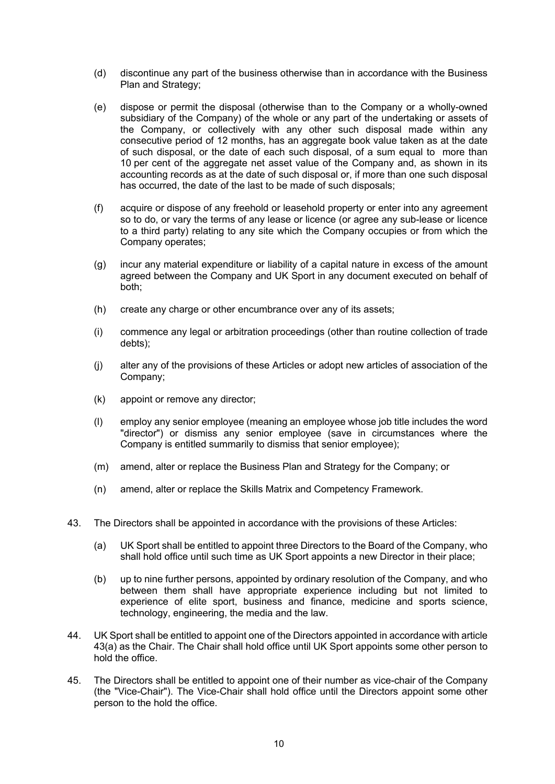- (d) discontinue any part of the business otherwise than in accordance with the Business Plan and Strategy;
- (e) dispose or permit the disposal (otherwise than to the Company or a wholly-owned subsidiary of the Company) of the whole or any part of the undertaking or assets of the Company, or collectively with any other such disposal made within any consecutive period of 12 months, has an aggregate book value taken as at the date of such disposal, or the date of each such disposal, of a sum equal to more than 10 per cent of the aggregate net asset value of the Company and, as shown in its accounting records as at the date of such disposal or, if more than one such disposal has occurred, the date of the last to be made of such disposals;
- (f) acquire or dispose of any freehold or leasehold property or enter into any agreement so to do, or vary the terms of any lease or licence (or agree any sub-lease or licence to a third party) relating to any site which the Company occupies or from which the Company operates;
- (g) incur any material expenditure or liability of a capital nature in excess of the amount agreed between the Company and UK Sport in any document executed on behalf of both;
- (h) create any charge or other encumbrance over any of its assets;
- (i) commence any legal or arbitration proceedings (other than routine collection of trade debts);
- (j) alter any of the provisions of these Articles or adopt new articles of association of the Company;
- (k) appoint or remove any director;
- (l) employ any senior employee (meaning an employee whose job title includes the word "director") or dismiss any senior employee (save in circumstances where the Company is entitled summarily to dismiss that senior employee);
- (m) amend, alter or replace the Business Plan and Strategy for the Company; or
- (n) amend, alter or replace the Skills Matrix and Competency Framework.
- 43. The Directors shall be appointed in accordance with the provisions of these Articles:
	- (a) UK Sport shall be entitled to appoint three Directors to the Board of the Company, who shall hold office until such time as UK Sport appoints a new Director in their place;
	- (b) up to nine further persons, appointed by ordinary resolution of the Company, and who between them shall have appropriate experience including but not limited to experience of elite sport, business and finance, medicine and sports science, technology, engineering, the media and the law.
- 44. UK Sport shall be entitled to appoint one of the Directors appointed in accordance with article 43(a) as the Chair. The Chair shall hold office until UK Sport appoints some other person to hold the office.
- 45. The Directors shall be entitled to appoint one of their number as vice-chair of the Company (the "Vice-Chair"). The Vice-Chair shall hold office until the Directors appoint some other person to the hold the office.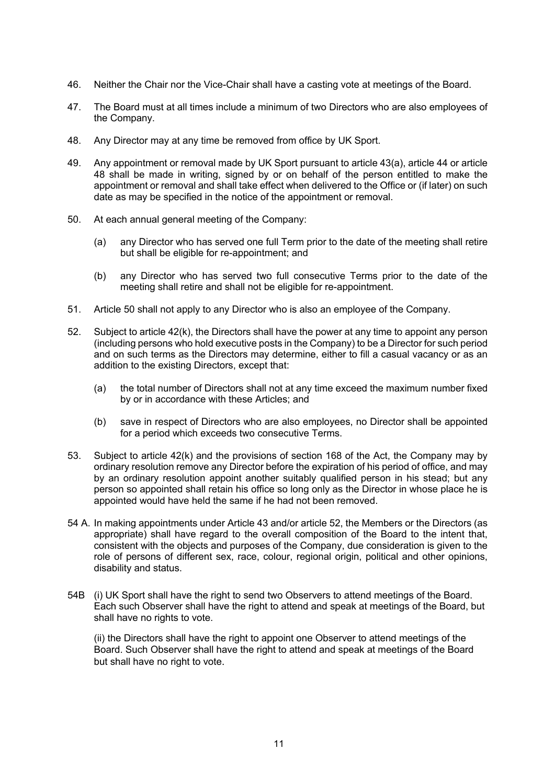- 46. Neither the Chair nor the Vice-Chair shall have a casting vote at meetings of the Board.
- 47. The Board must at all times include a minimum of two Directors who are also employees of the Company.
- 48. Any Director may at any time be removed from office by UK Sport.
- 49. Any appointment or removal made by UK Sport pursuant to article 43(a), article 44 or article 48 shall be made in writing, signed by or on behalf of the person entitled to make the appointment or removal and shall take effect when delivered to the Office or (if later) on such date as may be specified in the notice of the appointment or removal.
- 50. At each annual general meeting of the Company:
	- (a) any Director who has served one full Term prior to the date of the meeting shall retire but shall be eligible for re-appointment; and
	- (b) any Director who has served two full consecutive Terms prior to the date of the meeting shall retire and shall not be eligible for re-appointment.
- 51. Article 50 shall not apply to any Director who is also an employee of the Company.
- 52. Subject to article 42(k), the Directors shall have the power at any time to appoint any person (including persons who hold executive posts in the Company) to be a Director for such period and on such terms as the Directors may determine, either to fill a casual vacancy or as an addition to the existing Directors, except that:
	- (a) the total number of Directors shall not at any time exceed the maximum number fixed by or in accordance with these Articles; and
	- (b) save in respect of Directors who are also employees, no Director shall be appointed for a period which exceeds two consecutive Terms.
- 53. Subject to article 42(k) and the provisions of section 168 of the Act, the Company may by ordinary resolution remove any Director before the expiration of his period of office, and may by an ordinary resolution appoint another suitably qualified person in his stead; but any person so appointed shall retain his office so long only as the Director in whose place he is appointed would have held the same if he had not been removed.
- 54 A. In making appointments under Article 43 and/or article 52, the Members or the Directors (as appropriate) shall have regard to the overall composition of the Board to the intent that, consistent with the objects and purposes of the Company, due consideration is given to the role of persons of different sex, race, colour, regional origin, political and other opinions, disability and status.
- 54B (i) UK Sport shall have the right to send two Observers to attend meetings of the Board. Each such Observer shall have the right to attend and speak at meetings of the Board, but shall have no rights to vote.

(ii) the Directors shall have the right to appoint one Observer to attend meetings of the Board. Such Observer shall have the right to attend and speak at meetings of the Board but shall have no right to vote.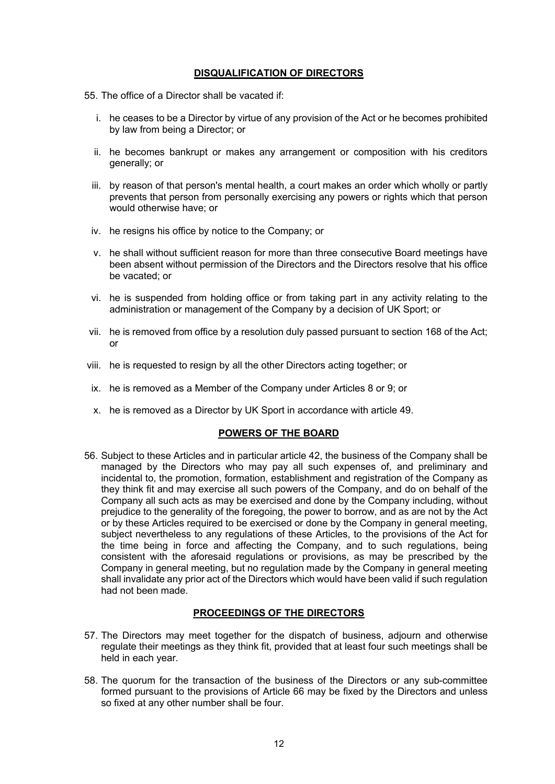#### **DISQUALIFICATION OF DIRECTORS**

55. The office of a Director shall be vacated if:

- i. he ceases to be a Director by virtue of any provision of the Act or he becomes prohibited by law from being a Director; or
- ii. he becomes bankrupt or makes any arrangement or composition with his creditors generally; or
- iii. by reason of that person's mental health, a court makes an order which wholly or partly prevents that person from personally exercising any powers or rights which that person would otherwise have; or
- iv. he resigns his office by notice to the Company; or
- v. he shall without sufficient reason for more than three consecutive Board meetings have been absent without permission of the Directors and the Directors resolve that his office be vacated; or
- vi. he is suspended from holding office or from taking part in any activity relating to the administration or management of the Company by a decision of UK Sport; or
- vii. he is removed from office by a resolution duly passed pursuant to section 168 of the Act; or
- viii. he is requested to resign by all the other Directors acting together; or
- ix. he is removed as a Member of the Company under Articles 8 or 9; or
- x. he is removed as a Director by UK Sport in accordance with article 49.

#### **POWERS OF THE BOARD**

56. Subject to these Articles and in particular article 42, the business of the Company shall be managed by the Directors who may pay all such expenses of, and preliminary and incidental to, the promotion, formation, establishment and registration of the Company as they think fit and may exercise all such powers of the Company, and do on behalf of the Company all such acts as may be exercised and done by the Company including, without prejudice to the generality of the foregoing, the power to borrow, and as are not by the Act or by these Articles required to be exercised or done by the Company in general meeting, subject nevertheless to any regulations of these Articles, to the provisions of the Act for the time being in force and affecting the Company, and to such regulations, being consistent with the aforesaid regulations or provisions, as may be prescribed by the Company in general meeting, but no regulation made by the Company in general meeting shall invalidate any prior act of the Directors which would have been valid if such regulation had not been made.

## **PROCEEDINGS OF THE DIRECTORS**

- 57. The Directors may meet together for the dispatch of business, adjourn and otherwise regulate their meetings as they think fit, provided that at least four such meetings shall be held in each year.
- 58. The quorum for the transaction of the business of the Directors or any sub-committee formed pursuant to the provisions of Article 66 may be fixed by the Directors and unless so fixed at any other number shall be four.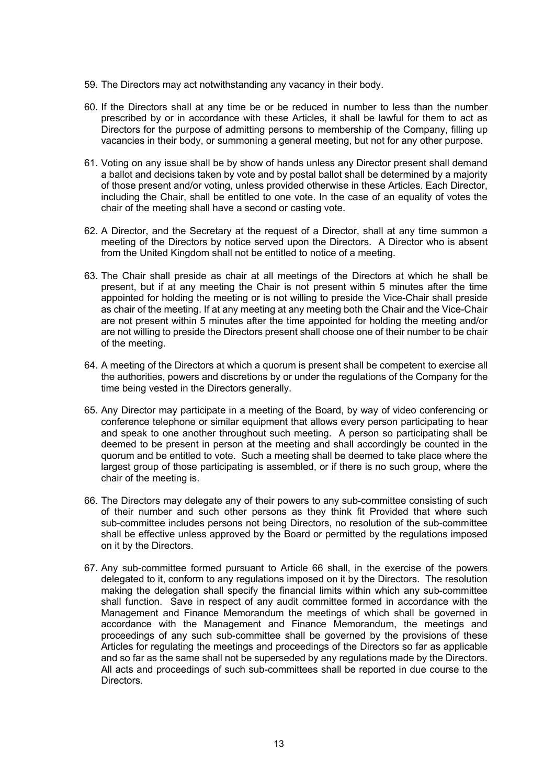- 59. The Directors may act notwithstanding any vacancy in their body.
- 60. If the Directors shall at any time be or be reduced in number to less than the number prescribed by or in accordance with these Articles, it shall be lawful for them to act as Directors for the purpose of admitting persons to membership of the Company, filling up vacancies in their body, or summoning a general meeting, but not for any other purpose.
- 61. Voting on any issue shall be by show of hands unless any Director present shall demand a ballot and decisions taken by vote and by postal ballot shall be determined by a majority of those present and/or voting, unless provided otherwise in these Articles. Each Director, including the Chair, shall be entitled to one vote. In the case of an equality of votes the chair of the meeting shall have a second or casting vote.
- 62. A Director, and the Secretary at the request of a Director, shall at any time summon a meeting of the Directors by notice served upon the Directors. A Director who is absent from the United Kingdom shall not be entitled to notice of a meeting.
- 63. The Chair shall preside as chair at all meetings of the Directors at which he shall be present, but if at any meeting the Chair is not present within 5 minutes after the time appointed for holding the meeting or is not willing to preside the Vice-Chair shall preside as chair of the meeting. If at any meeting at any meeting both the Chair and the Vice-Chair are not present within 5 minutes after the time appointed for holding the meeting and/or are not willing to preside the Directors present shall choose one of their number to be chair of the meeting.
- 64. A meeting of the Directors at which a quorum is present shall be competent to exercise all the authorities, powers and discretions by or under the regulations of the Company for the time being vested in the Directors generally.
- 65. Any Director may participate in a meeting of the Board, by way of video conferencing or conference telephone or similar equipment that allows every person participating to hear and speak to one another throughout such meeting. A person so participating shall be deemed to be present in person at the meeting and shall accordingly be counted in the quorum and be entitled to vote. Such a meeting shall be deemed to take place where the largest group of those participating is assembled, or if there is no such group, where the chair of the meeting is.
- 66. The Directors may delegate any of their powers to any sub-committee consisting of such of their number and such other persons as they think fit Provided that where such sub-committee includes persons not being Directors, no resolution of the sub-committee shall be effective unless approved by the Board or permitted by the regulations imposed on it by the Directors.
- 67. Any sub-committee formed pursuant to Article 66 shall, in the exercise of the powers delegated to it, conform to any regulations imposed on it by the Directors. The resolution making the delegation shall specify the financial limits within which any sub-committee shall function. Save in respect of any audit committee formed in accordance with the Management and Finance Memorandum the meetings of which shall be governed in accordance with the Management and Finance Memorandum, the meetings and proceedings of any such sub-committee shall be governed by the provisions of these Articles for regulating the meetings and proceedings of the Directors so far as applicable and so far as the same shall not be superseded by any regulations made by the Directors. All acts and proceedings of such sub-committees shall be reported in due course to the Directors.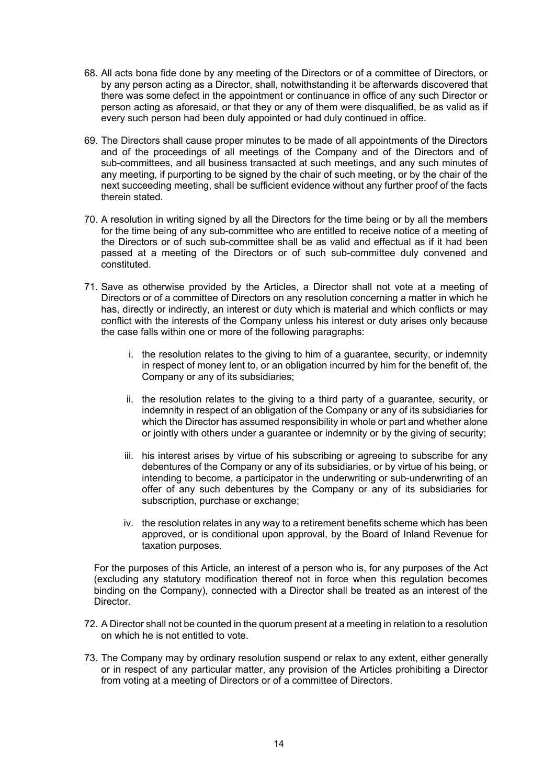- 68. All acts bona fide done by any meeting of the Directors or of a committee of Directors, or by any person acting as a Director, shall, notwithstanding it be afterwards discovered that there was some defect in the appointment or continuance in office of any such Director or person acting as aforesaid, or that they or any of them were disqualified, be as valid as if every such person had been duly appointed or had duly continued in office.
- 69. The Directors shall cause proper minutes to be made of all appointments of the Directors and of the proceedings of all meetings of the Company and of the Directors and of sub-committees, and all business transacted at such meetings, and any such minutes of any meeting, if purporting to be signed by the chair of such meeting, or by the chair of the next succeeding meeting, shall be sufficient evidence without any further proof of the facts therein stated.
- 70. A resolution in writing signed by all the Directors for the time being or by all the members for the time being of any sub-committee who are entitled to receive notice of a meeting of the Directors or of such sub-committee shall be as valid and effectual as if it had been passed at a meeting of the Directors or of such sub-committee duly convened and constituted.
- 71. Save as otherwise provided by the Articles, a Director shall not vote at a meeting of Directors or of a committee of Directors on any resolution concerning a matter in which he has, directly or indirectly, an interest or duty which is material and which conflicts or may conflict with the interests of the Company unless his interest or duty arises only because the case falls within one or more of the following paragraphs:
	- i. the resolution relates to the giving to him of a guarantee, security, or indemnity in respect of money lent to, or an obligation incurred by him for the benefit of, the Company or any of its subsidiaries;
	- ii. the resolution relates to the giving to a third party of a guarantee, security, or indemnity in respect of an obligation of the Company or any of its subsidiaries for which the Director has assumed responsibility in whole or part and whether alone or jointly with others under a guarantee or indemnity or by the giving of security;
	- iii. his interest arises by virtue of his subscribing or agreeing to subscribe for any debentures of the Company or any of its subsidiaries, or by virtue of his being, or intending to become, a participator in the underwriting or sub-underwriting of an offer of any such debentures by the Company or any of its subsidiaries for subscription, purchase or exchange;
	- iv. the resolution relates in any way to a retirement benefits scheme which has been approved, or is conditional upon approval, by the Board of Inland Revenue for taxation purposes.

For the purposes of this Article, an interest of a person who is, for any purposes of the Act (excluding any statutory modification thereof not in force when this regulation becomes binding on the Company), connected with a Director shall be treated as an interest of the Director.

- 72. A Director shall not be counted in the quorum present at a meeting in relation to a resolution on which he is not entitled to vote.
- 73. The Company may by ordinary resolution suspend or relax to any extent, either generally or in respect of any particular matter, any provision of the Articles prohibiting a Director from voting at a meeting of Directors or of a committee of Directors.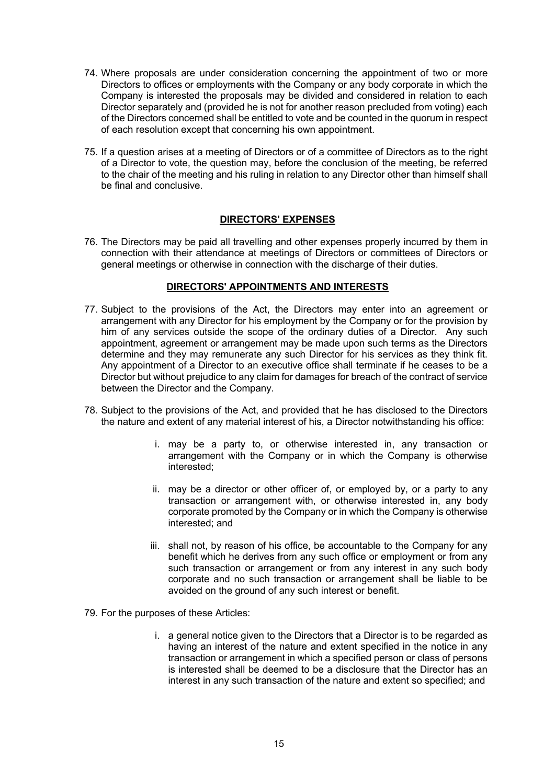- 74. Where proposals are under consideration concerning the appointment of two or more Directors to offices or employments with the Company or any body corporate in which the Company is interested the proposals may be divided and considered in relation to each Director separately and (provided he is not for another reason precluded from voting) each of the Directors concerned shall be entitled to vote and be counted in the quorum in respect of each resolution except that concerning his own appointment.
- 75. If a question arises at a meeting of Directors or of a committee of Directors as to the right of a Director to vote, the question may, before the conclusion of the meeting, be referred to the chair of the meeting and his ruling in relation to any Director other than himself shall be final and conclusive.

### **DIRECTORS' EXPENSES**

76. The Directors may be paid all travelling and other expenses properly incurred by them in connection with their attendance at meetings of Directors or committees of Directors or general meetings or otherwise in connection with the discharge of their duties.

# **DIRECTORS' APPOINTMENTS AND INTERESTS**

- 77. Subject to the provisions of the Act, the Directors may enter into an agreement or arrangement with any Director for his employment by the Company or for the provision by him of any services outside the scope of the ordinary duties of a Director. Any such appointment, agreement or arrangement may be made upon such terms as the Directors determine and they may remunerate any such Director for his services as they think fit. Any appointment of a Director to an executive office shall terminate if he ceases to be a Director but without prejudice to any claim for damages for breach of the contract of service between the Director and the Company.
- 78. Subject to the provisions of the Act, and provided that he has disclosed to the Directors the nature and extent of any material interest of his, a Director notwithstanding his office:
	- i. may be a party to, or otherwise interested in, any transaction or arrangement with the Company or in which the Company is otherwise interested;
	- ii. may be a director or other officer of, or employed by, or a party to any transaction or arrangement with, or otherwise interested in, any body corporate promoted by the Company or in which the Company is otherwise interested; and
	- iii. shall not, by reason of his office, be accountable to the Company for any benefit which he derives from any such office or employment or from any such transaction or arrangement or from any interest in any such body corporate and no such transaction or arrangement shall be liable to be avoided on the ground of any such interest or benefit.
- 79. For the purposes of these Articles:
	- i. a general notice given to the Directors that a Director is to be regarded as having an interest of the nature and extent specified in the notice in any transaction or arrangement in which a specified person or class of persons is interested shall be deemed to be a disclosure that the Director has an interest in any such transaction of the nature and extent so specified; and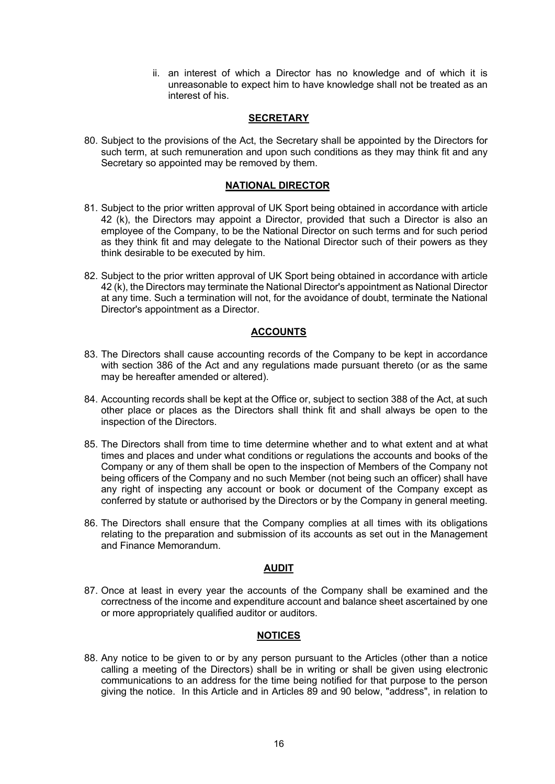ii. an interest of which a Director has no knowledge and of which it is unreasonable to expect him to have knowledge shall not be treated as an interest of his.

### **SECRETARY**

80. Subject to the provisions of the Act, the Secretary shall be appointed by the Directors for such term, at such remuneration and upon such conditions as they may think fit and any Secretary so appointed may be removed by them.

## **NATIONAL DIRECTOR**

- 81. Subject to the prior written approval of UK Sport being obtained in accordance with article 42 (k), the Directors may appoint a Director, provided that such a Director is also an employee of the Company, to be the National Director on such terms and for such period as they think fit and may delegate to the National Director such of their powers as they think desirable to be executed by him.
- 82. Subject to the prior written approval of UK Sport being obtained in accordance with article 42 (k), the Directors may terminate the National Director's appointment as National Director at any time. Such a termination will not, for the avoidance of doubt, terminate the National Director's appointment as a Director.

## **ACCOUNTS**

- 83. The Directors shall cause accounting records of the Company to be kept in accordance with section 386 of the Act and any regulations made pursuant thereto (or as the same may be hereafter amended or altered).
- 84. Accounting records shall be kept at the Office or, subject to section 388 of the Act, at such other place or places as the Directors shall think fit and shall always be open to the inspection of the Directors.
- 85. The Directors shall from time to time determine whether and to what extent and at what times and places and under what conditions or regulations the accounts and books of the Company or any of them shall be open to the inspection of Members of the Company not being officers of the Company and no such Member (not being such an officer) shall have any right of inspecting any account or book or document of the Company except as conferred by statute or authorised by the Directors or by the Company in general meeting.
- 86. The Directors shall ensure that the Company complies at all times with its obligations relating to the preparation and submission of its accounts as set out in the Management and Finance Memorandum.

### **AUDIT**

87. Once at least in every year the accounts of the Company shall be examined and the correctness of the income and expenditure account and balance sheet ascertained by one or more appropriately qualified auditor or auditors.

# **NOTICES**

88. Any notice to be given to or by any person pursuant to the Articles (other than a notice calling a meeting of the Directors) shall be in writing or shall be given using electronic communications to an address for the time being notified for that purpose to the person giving the notice. In this Article and in Articles 89 and 90 below, "address", in relation to